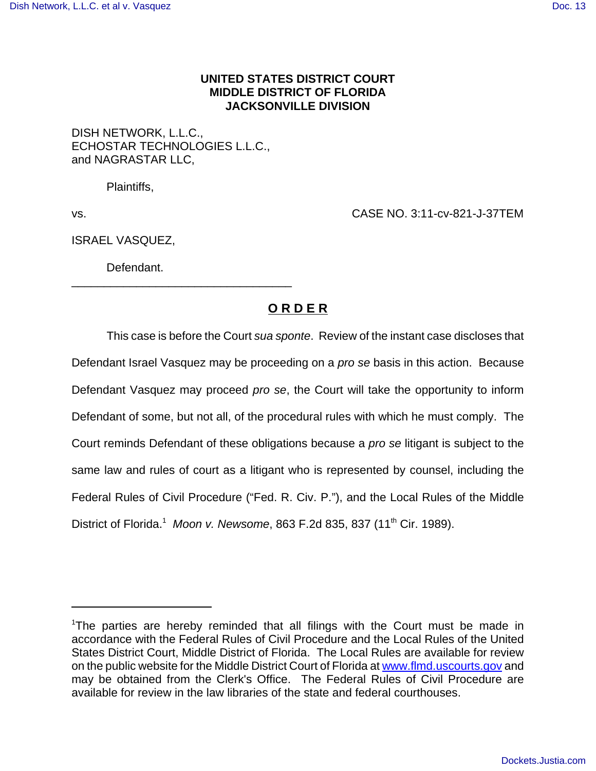## **UNITED STATES DISTRICT COURT MIDDLE DISTRICT OF FLORIDA JACKSONVILLE DIVISION**

## DISH NETWORK, L.L.C., ECHOSTAR TECHNOLOGIES L.L.C., and NAGRASTAR LLC,

\_\_\_\_\_\_\_\_\_\_\_\_\_\_\_\_\_\_\_\_\_\_\_\_\_\_\_\_\_\_\_\_\_\_

Plaintiffs,

vs. CASE NO. 3:11-cv-821-J-37TEM

ISRAEL VASQUEZ,

Defendant.

## **O R D E R**

This case is before the Court sua sponte. Review of the instant case discloses that Defendant Israel Vasquez may be proceeding on a *pro se* basis in this action. Because Defendant Vasquez may proceed pro se, the Court will take the opportunity to inform Defendant of some, but not all, of the procedural rules with which he must comply. The Court reminds Defendant of these obligations because a pro se litigant is subject to the same law and rules of court as a litigant who is represented by counsel, including the Federal Rules of Civil Procedure ("Fed. R. Civ. P."), and the Local Rules of the Middle District of Florida.<sup>1</sup> Moon v. Newsome, 863 F.2d 835, 837 (11<sup>th</sup> Cir. 1989).

<sup>&</sup>lt;sup>1</sup>The parties are hereby reminded that all filings with the Court must be made in accordance with the Federal Rules of Civil Procedure and the Local Rules of the United States District Court, Middle District of Florida. The Local Rules are available for review on the public website for the Middle District Court of Florida at www.flmd.uscourts.gov and may be obtained from the Clerk's Office. The Federal Rules of Civil Procedure are available for review in the law libraries of the state and federal courthouses.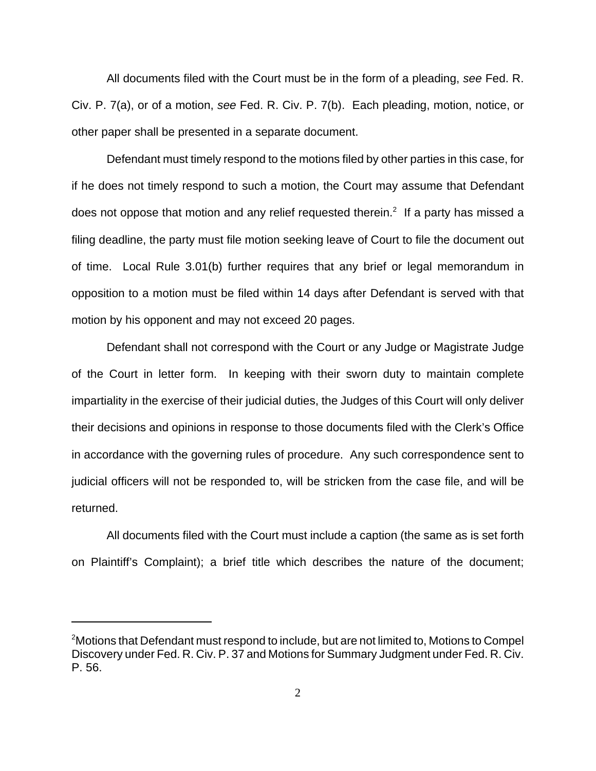All documents filed with the Court must be in the form of a pleading, see Fed. R. Civ. P. 7(a), or of a motion, see Fed. R. Civ. P. 7(b). Each pleading, motion, notice, or other paper shall be presented in a separate document.

Defendant must timely respond to the motions filed by other parties in this case, for if he does not timely respond to such a motion, the Court may assume that Defendant does not oppose that motion and any relief requested therein.<sup>2</sup> If a party has missed a filing deadline, the party must file motion seeking leave of Court to file the document out of time. Local Rule 3.01(b) further requires that any brief or legal memorandum in opposition to a motion must be filed within 14 days after Defendant is served with that motion by his opponent and may not exceed 20 pages.

Defendant shall not correspond with the Court or any Judge or Magistrate Judge of the Court in letter form. In keeping with their sworn duty to maintain complete impartiality in the exercise of their judicial duties, the Judges of this Court will only deliver their decisions and opinions in response to those documents filed with the Clerk's Office in accordance with the governing rules of procedure. Any such correspondence sent to judicial officers will not be responded to, will be stricken from the case file, and will be returned.

All documents filed with the Court must include a caption (the same as is set forth on Plaintiff's Complaint); a brief title which describes the nature of the document;

 $\rm ^2$ Motions that Defendant must respond to include, but are not limited to, Motions to Compel Discovery under Fed. R. Civ. P. 37 and Motions for Summary Judgment under Fed. R. Civ. P. 56.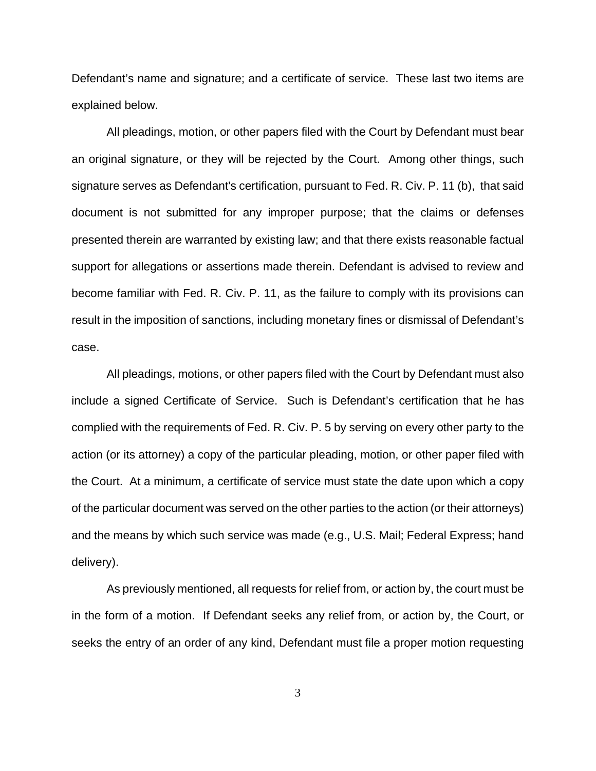Defendant's name and signature; and a certificate of service. These last two items are explained below.

All pleadings, motion, or other papers filed with the Court by Defendant must bear an original signature, or they will be rejected by the Court. Among other things, such signature serves as Defendant's certification, pursuant to Fed. R. Civ. P. 11 (b), that said document is not submitted for any improper purpose; that the claims or defenses presented therein are warranted by existing law; and that there exists reasonable factual support for allegations or assertions made therein. Defendant is advised to review and become familiar with Fed. R. Civ. P. 11, as the failure to comply with its provisions can result in the imposition of sanctions, including monetary fines or dismissal of Defendant's case.

All pleadings, motions, or other papers filed with the Court by Defendant must also include a signed Certificate of Service. Such is Defendant's certification that he has complied with the requirements of Fed. R. Civ. P. 5 by serving on every other party to the action (or its attorney) a copy of the particular pleading, motion, or other paper filed with the Court. At a minimum, a certificate of service must state the date upon which a copy of the particular document was served on the other parties to the action (or their attorneys) and the means by which such service was made (e.g., U.S. Mail; Federal Express; hand delivery).

As previously mentioned, all requests for relief from, or action by, the court must be in the form of a motion. If Defendant seeks any relief from, or action by, the Court, or seeks the entry of an order of any kind, Defendant must file a proper motion requesting

3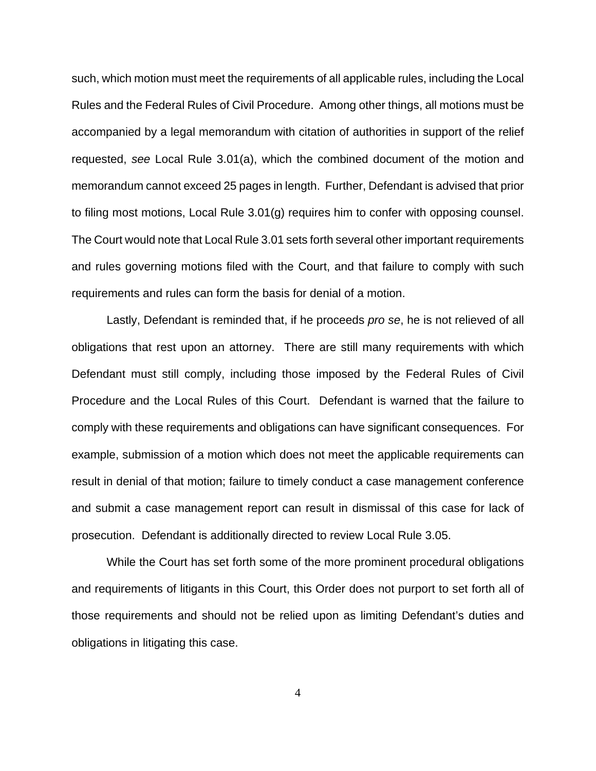such, which motion must meet the requirements of all applicable rules, including the Local Rules and the Federal Rules of Civil Procedure. Among other things, all motions must be accompanied by a legal memorandum with citation of authorities in support of the relief requested, see Local Rule 3.01(a), which the combined document of the motion and memorandum cannot exceed 25 pages in length. Further, Defendant is advised that prior to filing most motions, Local Rule 3.01(g) requires him to confer with opposing counsel. The Court would note that Local Rule 3.01 sets forth several other important requirements and rules governing motions filed with the Court, and that failure to comply with such requirements and rules can form the basis for denial of a motion.

Lastly, Defendant is reminded that, if he proceeds pro se, he is not relieved of all obligations that rest upon an attorney. There are still many requirements with which Defendant must still comply, including those imposed by the Federal Rules of Civil Procedure and the Local Rules of this Court. Defendant is warned that the failure to comply with these requirements and obligations can have significant consequences. For example, submission of a motion which does not meet the applicable requirements can result in denial of that motion; failure to timely conduct a case management conference and submit a case management report can result in dismissal of this case for lack of prosecution. Defendant is additionally directed to review Local Rule 3.05.

While the Court has set forth some of the more prominent procedural obligations and requirements of litigants in this Court, this Order does not purport to set forth all of those requirements and should not be relied upon as limiting Defendant's duties and obligations in litigating this case.

4